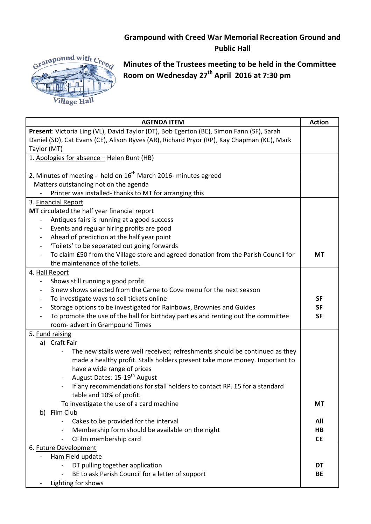## **Grampound with Creed War Memorial Recreation Ground and Public Hall**



**Minutes of the Trustees meeting to be held in the Committee Room on Wednesday 27th April 2016 at 7:30 pm**

| <b>AGENDA ITEM</b>                                                                         | <b>Action</b>  |
|--------------------------------------------------------------------------------------------|----------------|
| Present: Victoria Ling (VL), David Taylor (DT), Bob Egerton (BE), Simon Fann (SF), Sarah   |                |
| Daniel (SD), Cat Evans (CE), Alison Ryves (AR), Richard Pryor (RP), Kay Chapman (KC), Mark |                |
| Taylor (MT)                                                                                |                |
| 1. Apologies for absence - Helen Bunt (HB)                                                 |                |
|                                                                                            |                |
| 2. Minutes of meeting - held on 16 <sup>th</sup> March 2016- minutes agreed                |                |
| Matters outstanding not on the agenda                                                      |                |
| Printer was installed-thanks to MT for arranging this                                      |                |
| 3. Financial Report                                                                        |                |
| MT circulated the half year financial report                                               |                |
| Antiques fairs is running at a good success                                                |                |
| Events and regular hiring profits are good<br>$\overline{\phantom{a}}$                     |                |
| Ahead of prediction at the half year point                                                 |                |
| 'Toilets' to be separated out going forwards                                               |                |
| To claim £50 from the Village store and agreed donation from the Parish Council for        | <b>MT</b>      |
| the maintenance of the toilets.                                                            |                |
| 4. Hall Report                                                                             |                |
| Shows still running a good profit                                                          |                |
| 3 new shows selected from the Carne to Cove menu for the next season                       |                |
| To investigate ways to sell tickets online<br>$\qquad \qquad \blacksquare$                 | <b>SF</b>      |
| Storage options to be investigated for Rainbows, Brownies and Guides                       | <b>SF</b>      |
| To promote the use of the hall for birthday parties and renting out the committee          | <b>SF</b>      |
| room- advert in Grampound Times                                                            |                |
| 5. Fund raising                                                                            |                |
| a) Craft Fair                                                                              |                |
| The new stalls were well received; refreshments should be continued as they                |                |
| made a healthy profit. Stalls holders present take more money. Important to                |                |
| have a wide range of prices                                                                |                |
| August Dates: 15-19 <sup>th</sup> August                                                   |                |
| If any recommendations for stall holders to contact RP. £5 for a standard                  |                |
| table and 10% of profit.                                                                   |                |
| To investigate the use of a card machine                                                   | <b>MT</b>      |
| b) Film Club                                                                               |                |
| Cakes to be provided for the interval                                                      | All            |
| Membership form should be available on the night                                           | H <sub>B</sub> |
| CFilm membership card                                                                      | <b>CE</b>      |
| 6. Future Development                                                                      |                |
| Ham Field update                                                                           |                |
| DT pulling together application                                                            | DT             |
| BE to ask Parish Council for a letter of support                                           | <b>BE</b>      |
| Lighting for shows                                                                         |                |